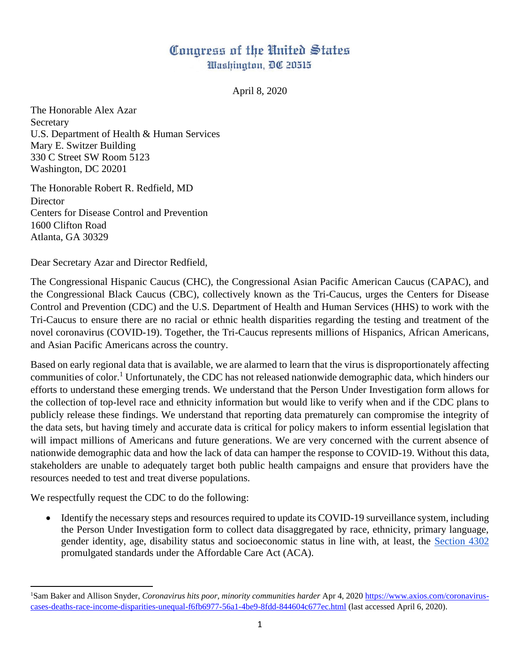## Congress of the United States Washington, DC 20515

April 8, 2020

The Honorable Alex Azar Secretary U.S. Department of Health & Human Services Mary E. Switzer Building 330 C Street SW Room 5123 Washington, DC 20201

The Honorable Robert R. Redfield, MD **Director** Centers for Disease Control and Prevention 1600 Clifton Road Atlanta, GA 30329

Dear Secretary Azar and Director Redfield,

The Congressional Hispanic Caucus (CHC), the Congressional Asian Pacific American Caucus (CAPAC), and the Congressional Black Caucus (CBC), collectively known as the Tri-Caucus, urges the Centers for Disease Control and Prevention (CDC) and the U.S. Department of Health and Human Services (HHS) to work with the Tri-Caucus to ensure there are no racial or ethnic health disparities regarding the testing and treatment of the novel coronavirus (COVID-19). Together, the Tri-Caucus represents millions of Hispanics, African Americans, and Asian Pacific Americans across the country.

Based on early regional data that is available, we are alarmed to learn that the virus is disproportionately affecting communities of color.<sup>1</sup> Unfortunately, the CDC has not released nationwide demographic data, which hinders our efforts to understand these emerging trends. We understand that the Person Under Investigation form allows for the collection of top-level race and ethnicity information but would like to verify when and if the CDC plans to publicly release these findings. We understand that reporting data prematurely can compromise the integrity of the data sets, but having timely and accurate data is critical for policy makers to inform essential legislation that will impact millions of Americans and future generations. We are very concerned with the current absence of nationwide demographic data and how the lack of data can hamper the response to COVID-19. Without this data, stakeholders are unable to adequately target both public health campaigns and ensure that providers have the resources needed to test and treat diverse populations.

We respectfully request the CDC to do the following:

• Identify the necessary steps and resources required to update its COVID-19 surveillance system, including the Person Under Investigation form to collect data disaggregated by race, ethnicity, primary language, gender identity, age, disability status and socioeconomic status in line with, at least, the [Section 4302](https://urldefense.proofpoint.com/v2/url?u=https-3A__aspe.hhs.gov_basic-2Dreport_hhs-2Dimplementation-2Dguidance-2Ddata-2Dcollection-2Dstandards-2Drace-2Dethnicity-2Dsex-2Dprimary-2Dlanguage-2Dand-2Ddisability-2Dstatus&d=DwMFAg&c=L93KkjKsAC98uTvC4KvQDdTDRzAeWDDRmG6S3YXllH0&r=bGgVryifEdsC6ABEMmZok7_vNgs5JcFZnqqDS6wpBNI&m=RmfXGD0cxzUHWkD3FL5H8axTdVe89Ue24SSMj9C_mEk&s=qm0vPsI6BKZsSIilPcBfESIGLr4pAJZO5h8i-zMiQQ0&e=) promulgated standards under the Affordable Care Act (ACA).

<sup>1</sup>Sam Baker and Allison Snyder, *Coronavirus hits poor, minority communities harder* Apr 4, 2020 [https://www.axios.com/coronavirus](https://www.axios.com/coronavirus-cases-deaths-race-income-disparities-unequal-f6fb6977-56a1-4be9-8fdd-844604c677ec.html)[cases-deaths-race-income-disparities-unequal-f6fb6977-56a1-4be9-8fdd-844604c677ec.html](https://www.axios.com/coronavirus-cases-deaths-race-income-disparities-unequal-f6fb6977-56a1-4be9-8fdd-844604c677ec.html) (last accessed April 6, 2020).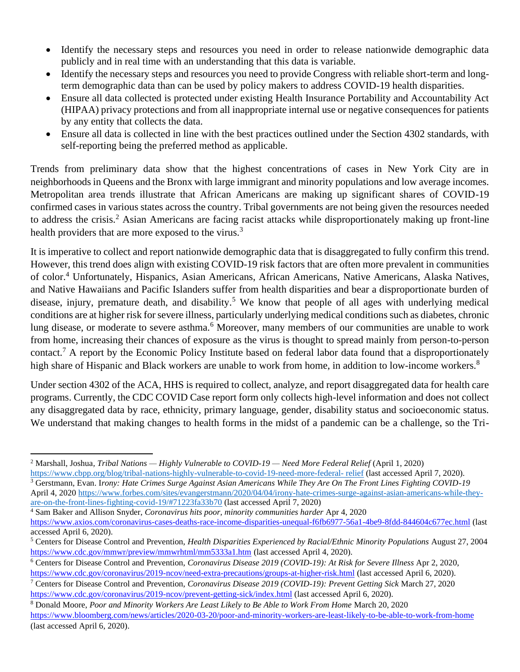- Identify the necessary steps and resources you need in order to release nationwide demographic data publicly and in real time with an understanding that this data is variable.
- Identify the necessary steps and resources you need to provide Congress with reliable short-term and longterm demographic data than can be used by policy makers to address COVID-19 health disparities.
- Ensure all data collected is protected under existing Health Insurance Portability and Accountability Act (HIPAA) privacy protections and from all inappropriate internal use or negative consequences for patients by any entity that collects the data.
- Ensure all data is collected in line with the best practices outlined under the Section 4302 standards, with self-reporting being the preferred method as applicable.

Trends from preliminary data show that the highest concentrations of cases in New York City are in neighborhoods in Queens and the Bronx with large immigrant and minority populations and low average incomes. Metropolitan area trends illustrate that African Americans are making up significant shares of COVID-19 confirmed cases in various states across the country. Tribal governments are not being given the resources needed to address the crisis.<sup>2</sup> Asian Americans are facing racist attacks while disproportionately making up front-line health providers that are more exposed to the virus.<sup>3</sup>

It is imperative to collect and report nationwide demographic data that is disaggregated to fully confirm this trend. However, this trend does align with existing COVID-19 risk factors that are often more prevalent in communities of color.<sup>4</sup> Unfortunately, Hispanics, Asian Americans, African Americans, Native Americans, Alaska Natives, and Native Hawaiians and Pacific Islanders suffer from health disparities and bear a disproportionate burden of disease, injury, premature death, and disability.<sup>5</sup> We know that people of all ages with underlying medical conditions are at higher risk for severe illness, particularly underlying medical conditions such as diabetes, chronic lung disease, or moderate to severe asthma.<sup>6</sup> Moreover, many members of our communities are unable to work from home, increasing their chances of exposure as the virus is thought to spread mainly from person-to-person contact.<sup>7</sup> A report by the Economic Policy Institute based on federal labor data found that a disproportionately high share of Hispanic and Black workers are unable to work from home, in addition to low-income workers.<sup>8</sup>

Under section 4302 of the ACA, HHS is required to collect, analyze, and report disaggregated data for health care programs. Currently, the CDC COVID Case report form only collects high-level information and does not collect any disaggregated data by race, ethnicity, primary language, gender, disability status and socioeconomic status. We understand that making changes to health forms in the midst of a pandemic can be a challenge, so the Tri-

<sup>3</sup> Gerstmann, Evan. I*rony: Hate Crimes Surge Against Asian Americans While They Are On The Front Lines Fighting COVID-19* April 4, 2020 [https://www.forbes.com/sites/evangerstmann/2020/04/04/irony-hate-crimes-surge-against-asian-americans-while-they](https://www.forbes.com/sites/evangerstmann/2020/04/04/irony-hate-crimes-surge-against-asian-americans-while-they-are-on-the-front-lines-fighting-covid-19/#71223fa33b70)[are-on-the-front-lines-fighting-covid-19/#71223fa33b70](https://www.forbes.com/sites/evangerstmann/2020/04/04/irony-hate-crimes-surge-against-asian-americans-while-they-are-on-the-front-lines-fighting-covid-19/#71223fa33b70) (last accessed April 7, 2020)

<sup>2</sup> Marshall, Joshua*, Tribal Nations — Highly Vulnerable to COVID-19 — Need More Federal Relief* (April 1, 2020) [https://www.cbpp.org/blog/tribal-nations-highly-vulnerable-to-covid-19-need-more-federal-](https://www.cbpp.org/blog/tribal-nations-highly-vulnerable-to-covid-19-need-more-federal-%20relief) relief (last accessed April 7, 2020).

<sup>4</sup> Sam Baker and Allison Snyder, *Coronavirus hits poor, minority communities harder* Apr 4, 2020

<https://www.axios.com/coronavirus-cases-deaths-race-income-disparities-unequal-f6fb6977-56a1-4be9-8fdd-844604c677ec.html> (last accessed April 6, 2020).

<sup>5</sup> Centers for Disease Control and Prevention, *Health Disparities Experienced by Racial/Ethnic Minority Populations* August 27, 2004 <https://www.cdc.gov/mmwr/preview/mmwrhtml/mm5333a1.htm> (last accessed April 4, 2020).

<sup>6</sup> Centers for Disease Control and Prevention, *Coronavirus Disease 2019 (COVID-19): At Risk for Severe Illness* Apr 2, 2020, <https://www.cdc.gov/coronavirus/2019-ncov/need-extra-precautions/groups-at-higher-risk.html> (last accessed April 6, 2020).

<sup>7</sup> Centers for Disease Control and Prevention, *Coronavirus Disease 2019 (COVID-19): Prevent Getting Sick* March 27, 2020 <https://www.cdc.gov/coronavirus/2019-ncov/prevent-getting-sick/index.html> (last accessed April 6, 2020).

<sup>8</sup> Donald Moore, *Poor and Minority Workers Are Least Likely to Be Able to Work From Home* March 20, 2020 <https://www.bloomberg.com/news/articles/2020-03-20/poor-and-minority-workers-are-least-likely-to-be-able-to-work-from-home> (last accessed April 6, 2020).